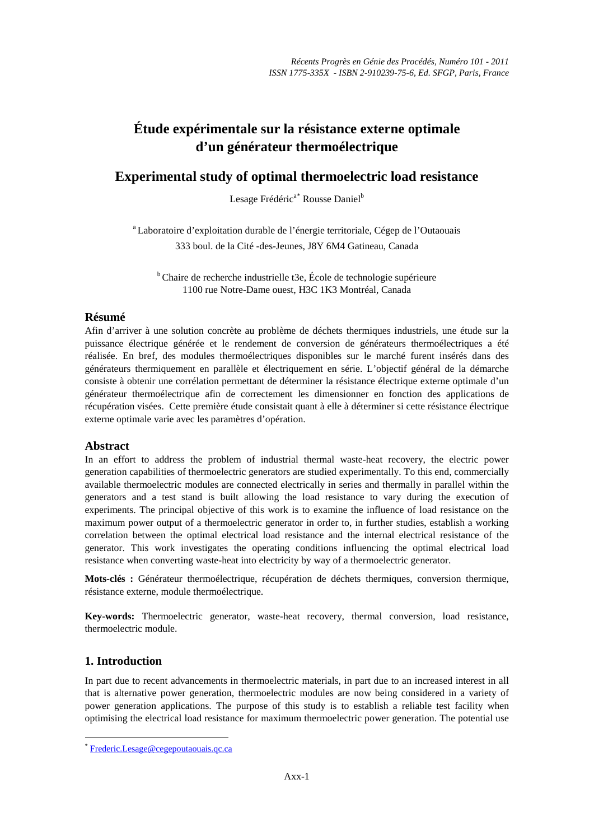# **Étude expérimentale sur la résistance externe optimale d'un générateur thermoélectrique**

## **Experimental study of optimal thermoelectric load resistance**

Lesage Frédéric<sup>a[\\*](#page-0-0)</sup> Rousse Daniel<sup>b</sup>

<sup>a</sup> Laboratoire d'exploitation durable de l'énergie territoriale, Cégep de l'Outaouais 333 boul. de la Cité -des-Jeunes, J8Y 6M4 Gatineau, Canada

<sup>b</sup> Chaire de recherche industrielle t3e, École de technologie supérieure 1100 rue Notre-Dame ouest, H3C 1K3 Montréal, Canada

### **Résumé**

Afin d'arriver à une solution concrète au problème de déchets thermiques industriels, une étude sur la puissance électrique générée et le rendement de conversion de générateurs thermoélectriques a été réalisée. En bref, des modules thermoélectriques disponibles sur le marché furent insérés dans des générateurs thermiquement en parallèle et électriquement en série. L'objectif général de la démarche consiste à obtenir une corrélation permettant de déterminer la résistance électrique externe optimale d'un générateur thermoélectrique afin de correctement les dimensionner en fonction des applications de récupération visées. Cette première étude consistait quant à elle à déterminer si cette résistance électrique externe optimale varie avec les paramètres d'opération.

## **Abstract**

In an effort to address the problem of industrial thermal waste-heat recovery, the electric power generation capabilities of thermoelectric generators are studied experimentally. To this end, commercially available thermoelectric modules are connected electrically in series and thermally in parallel within the generators and a test stand is built allowing the load resistance to vary during the execution of experiments. The principal objective of this work is to examine the influence of load resistance on the maximum power output of a thermoelectric generator in order to, in further studies, establish a working correlation between the optimal electrical load resistance and the internal electrical resistance of the generator. This work investigates the operating conditions influencing the optimal electrical load resistance when converting waste-heat into electricity by way of a thermoelectric generator.

**Mots-clés :** Générateur thermoélectrique, récupération de déchets thermiques, conversion thermique, résistance externe, module thermoélectrique.

**Key-words:** Thermoelectric generator, waste-heat recovery, thermal conversion, load resistance, thermoelectric module.

## **1. Introduction**

In part due to recent advancements in thermoelectric materials, in part due to an increased interest in all that is alternative power generation, thermoelectric modules are now being considered in a variety of power generation applications. The purpose of this study is to establish a reliable test facility when optimising the electrical load resistance for maximum thermoelectric power generation. The potential use

<span id="page-0-0"></span> <sup>\*</sup> [Frederic.Lesage@cegepoutaouais.qc.ca](mailto:Frederic.Lesage@cegepoutaouais.qc.ca)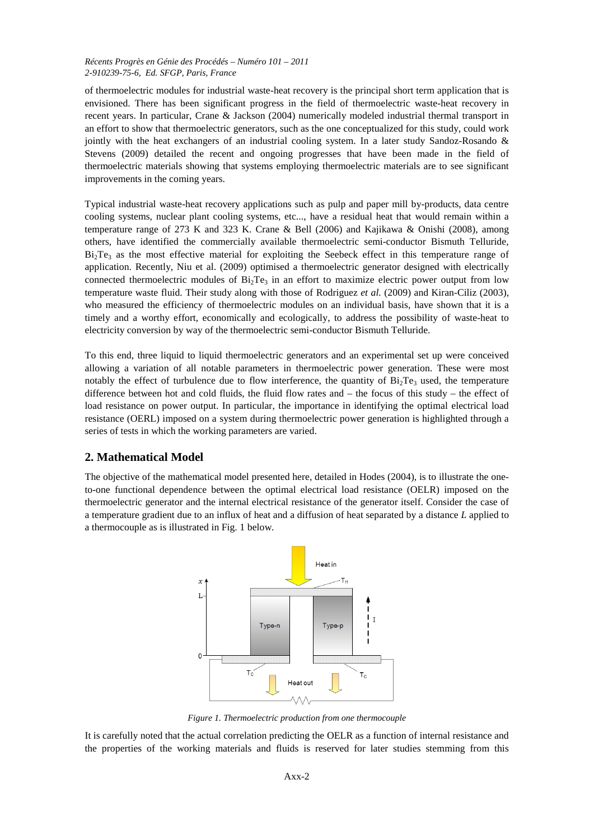#### *Récents Progrès en Génie des Procédés – Numéro 101 – 2011 2-910239-75-6, Ed. SFGP, Paris, France*

of thermoelectric modules for industrial waste-heat recovery is the principal short term application that is envisioned. There has been significant progress in the field of thermoelectric waste-heat recovery in recent years. In particular, Crane & Jackson (2004) numerically modeled industrial thermal transport in an effort to show that thermoelectric generators, such as the one conceptualized for this study, could work jointly with the heat exchangers of an industrial cooling system. In a later study Sandoz-Rosando & Stevens (2009) detailed the recent and ongoing progresses that have been made in the field of thermoelectric materials showing that systems employing thermoelectric materials are to see significant improvements in the coming years.

Typical industrial waste-heat recovery applications such as pulp and paper mill by-products, data centre cooling systems, nuclear plant cooling systems, etc..., have a residual heat that would remain within a temperature range of 273 K and 323 K. Crane & Bell (2006) and Kajikawa & Onishi (2008), among others, have identified the commercially available thermoelectric semi-conductor Bismuth Telluride,  $Bi<sub>2</sub>Te<sub>3</sub>$  as the most effective material for exploiting the Seebeck effect in this temperature range of application. Recently, Niu et al. (2009) optimised a thermoelectric generator designed with electrically connected thermoelectric modules of  $Bi<sub>2</sub>Te<sub>3</sub>$  in an effort to maximize electric power output from low temperature waste fluid. Their study along with those of Rodriguez *et al.* (2009) and Kiran-Ciliz (2003), who measured the efficiency of thermoelectric modules on an individual basis, have shown that it is a timely and a worthy effort, economically and ecologically, to address the possibility of waste-heat to electricity conversion by way of the thermoelectric semi-conductor Bismuth Telluride.

To this end, three liquid to liquid thermoelectric generators and an experimental set up were conceived allowing a variation of all notable parameters in thermoelectric power generation. These were most notably the effect of turbulence due to flow interference, the quantity of  $Bi<sub>2</sub>Te<sub>3</sub>$  used, the temperature difference between hot and cold fluids, the fluid flow rates and – the focus of this study – the effect of load resistance on power output. In particular, the importance in identifying the optimal electrical load resistance (OERL) imposed on a system during thermoelectric power generation is highlighted through a series of tests in which the working parameters are varied.

## **2. Mathematical Model**

The objective of the mathematical model presented here, detailed in Hodes (2004), is to illustrate the oneto-one functional dependence between the optimal electrical load resistance (OELR) imposed on the thermoelectric generator and the internal electrical resistance of the generator itself. Consider the case of a temperature gradient due to an influx of heat and a diffusion of heat separated by a distance *L* applied to a thermocouple as is illustrated in Fig. 1 below.



*Figure 1. Thermoelectric production from one thermocouple*

It is carefully noted that the actual correlation predicting the OELR as a function of internal resistance and the properties of the working materials and fluids is reserved for later studies stemming from this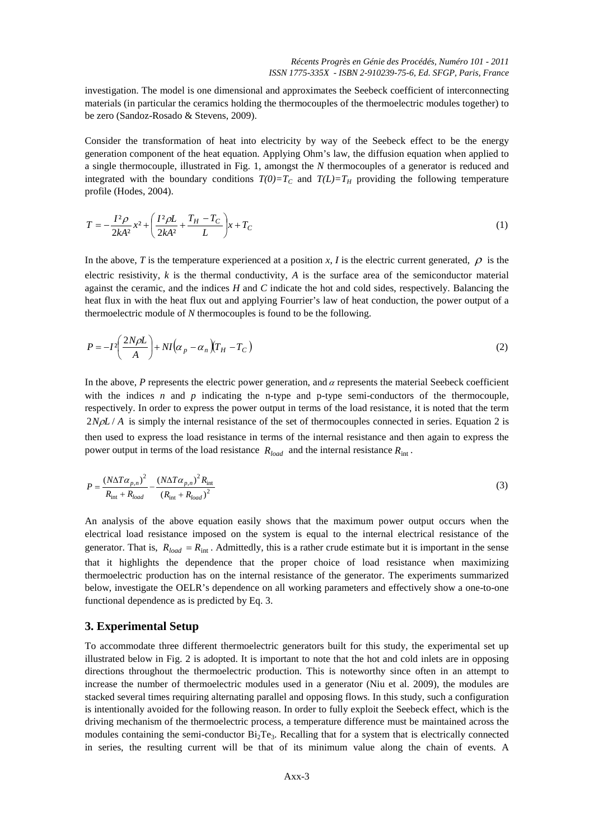investigation. The model is one dimensional and approximates the Seebeck coefficient of interconnecting materials (in particular the ceramics holding the thermocouples of the thermoelectric modules together) to be zero (Sandoz-Rosado & Stevens, 2009).

Consider the transformation of heat into electricity by way of the Seebeck effect to be the energy generation component of the heat equation. Applying Ohm's law, the diffusion equation when applied to a single thermocouple, illustrated in Fig. 1, amongst the *N* thermocouples of a generator is reduced and integrated with the boundary conditions  $T(0)=T_C$  and  $T(L)=T_H$  providing the following temperature profile (Hodes, 2004).

$$
T = -\frac{I^2 \rho}{2kA^2} x^2 + \left(\frac{I^2 \rho L}{2kA^2} + \frac{T_H - T_C}{L}\right) x + T_C
$$
 (1)

In the above, *T* is the temperature experienced at a position *x*, *I* is the electric current generated,  $\rho$  is the electric resistivity, *k* is the thermal conductivity, *A* is the surface area of the semiconductor material against the ceramic, and the indices *H* and *C* indicate the hot and cold sides, respectively. Balancing the heat flux in with the heat flux out and applying Fourrier's law of heat conduction, the power output of a thermoelectric module of *N* thermocouples is found to be the following.

$$
P = -I^2 \left(\frac{2N\rho L}{A}\right) + NI\left(\alpha_p - \alpha_n\right) \left(T_H - T_C\right) \tag{2}
$$

In the above,  $P$  represents the electric power generation, and  $\alpha$  represents the material Seebeck coefficient with the indices  $n$  and  $p$  indicating the n-type and p-type semi-conductors of the thermocouple, respectively. In order to express the power output in terms of the load resistance, it is noted that the term 2*N<sub>P</sub>L* / *A* is simply the internal resistance of the set of thermocouples connected in series. Equation 2 is then used to express the load resistance in terms of the internal resistance and then again to express the power output in terms of the load resistance  $R_{load}$  and the internal resistance  $R_{int}$ .

$$
P = \frac{(N\Delta T\alpha_{p,n})^2}{R_{\text{int}} + R_{load}} - \frac{(N\Delta T\alpha_{p,n})^2 R_{\text{int}}}{(R_{\text{int}} + R_{load})^2}
$$
(3)

An analysis of the above equation easily shows that the maximum power output occurs when the electrical load resistance imposed on the system is equal to the internal electrical resistance of the generator. That is,  $R_{load} = R_{int}$ . Admittedly, this is a rather crude estimate but it is important in the sense that it highlights the dependence that the proper choice of load resistance when maximizing thermoelectric production has on the internal resistance of the generator. The experiments summarized below, investigate the OELR's dependence on all working parameters and effectively show a one-to-one functional dependence as is predicted by Eq. 3.

#### **3. Experimental Setup**

To accommodate three different thermoelectric generators built for this study, the experimental set up illustrated below in Fig. 2 is adopted. It is important to note that the hot and cold inlets are in opposing directions throughout the thermoelectric production. This is noteworthy since often in an attempt to increase the number of thermoelectric modules used in a generator (Niu et al. 2009), the modules are stacked several times requiring alternating parallel and opposing flows. In this study, such a configuration is intentionally avoided for the following reason. In order to fully exploit the Seebeck effect, which is the driving mechanism of the thermoelectric process, a temperature difference must be maintained across the modules containing the semi-conductor  $Bi_2Te_3$ . Recalling that for a system that is electrically connected in series, the resulting current will be that of its minimum value along the chain of events. A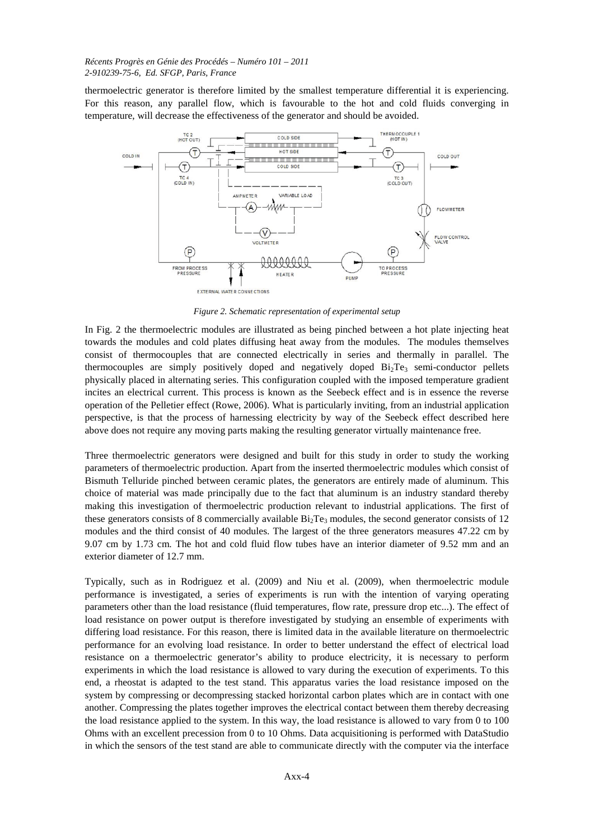#### *Récents Progrès en Génie des Procédés – Numéro 101 – 2011 2-910239-75-6, Ed. SFGP, Paris, France*

thermoelectric generator is therefore limited by the smallest temperature differential it is experiencing. For this reason, any parallel flow, which is favourable to the hot and cold fluids converging in temperature, will decrease the effectiveness of the generator and should be avoided.



*Figure 2. Schematic representation of experimental setup*

In Fig. 2 the thermoelectric modules are illustrated as being pinched between a hot plate injecting heat towards the modules and cold plates diffusing heat away from the modules. The modules themselves consist of thermocouples that are connected electrically in series and thermally in parallel. The thermocouples are simply positively doped and negatively doped  $Bi_2Te_3$  semi-conductor pellets physically placed in alternating series. This configuration coupled with the imposed temperature gradient incites an electrical current. This process is known as the Seebeck effect and is in essence the reverse operation of the Pelletier effect (Rowe, 2006). What is particularly inviting, from an industrial application perspective, is that the process of harnessing electricity by way of the Seebeck effect described here above does not require any moving parts making the resulting generator virtually maintenance free.

Three thermoelectric generators were designed and built for this study in order to study the working parameters of thermoelectric production. Apart from the inserted thermoelectric modules which consist of Bismuth Telluride pinched between ceramic plates, the generators are entirely made of aluminum. This choice of material was made principally due to the fact that aluminum is an industry standard thereby making this investigation of thermoelectric production relevant to industrial applications. The first of these generators consists of 8 commercially available  $Bi_2Te_3$  modules, the second generator consists of 12 modules and the third consist of 40 modules. The largest of the three generators measures 47.22 cm by 9.07 cm by 1.73 cm. The hot and cold fluid flow tubes have an interior diameter of 9.52 mm and an exterior diameter of 12.7 mm.

Typically, such as in Rodriguez et al. (2009) and Niu et al. (2009), when thermoelectric module performance is investigated, a series of experiments is run with the intention of varying operating parameters other than the load resistance (fluid temperatures, flow rate, pressure drop etc...). The effect of load resistance on power output is therefore investigated by studying an ensemble of experiments with differing load resistance. For this reason, there is limited data in the available literature on thermoelectric performance for an evolving load resistance. In order to better understand the effect of electrical load resistance on a thermoelectric generator's ability to produce electricity, it is necessary to perform experiments in which the load resistance is allowed to vary during the execution of experiments. To this end, a rheostat is adapted to the test stand. This apparatus varies the load resistance imposed on the system by compressing or decompressing stacked horizontal carbon plates which are in contact with one another. Compressing the plates together improves the electrical contact between them thereby decreasing the load resistance applied to the system. In this way, the load resistance is allowed to vary from 0 to 100 Ohms with an excellent precession from 0 to 10 Ohms. Data acquisitioning is performed with DataStudio in which the sensors of the test stand are able to communicate directly with the computer via the interface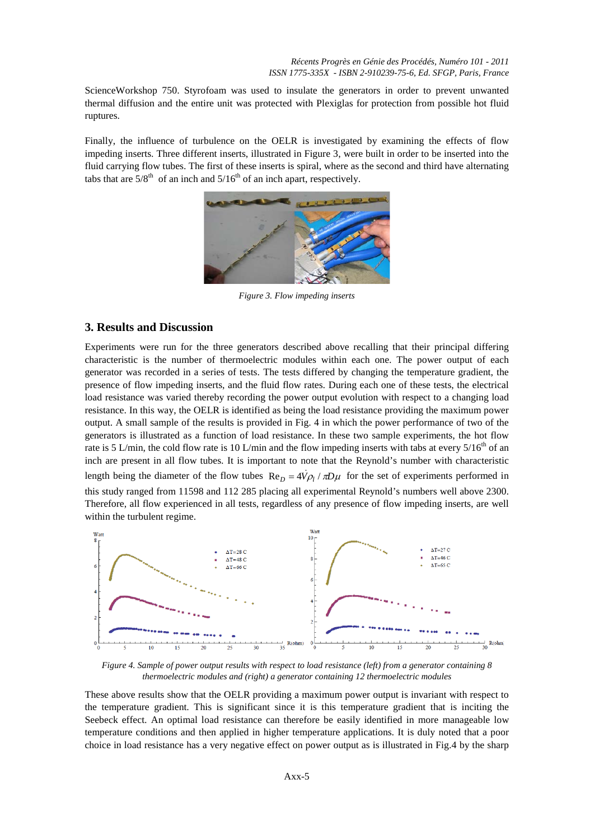ScienceWorkshop 750. Styrofoam was used to insulate the generators in order to prevent unwanted thermal diffusion and the entire unit was protected with Plexiglas for protection from possible hot fluid ruptures.

Finally, the influence of turbulence on the OELR is investigated by examining the effects of flow impeding inserts. Three different inserts, illustrated in Figure 3, were built in order to be inserted into the fluid carrying flow tubes. The first of these inserts is spiral, where as the second and third have alternating tabs that are  $5/8^{th}$  of an inch and  $5/16^{th}$  of an inch apart, respectively.



*Figure 3. Flow impeding inserts*

#### **3. Results and Discussion**

Experiments were run for the three generators described above recalling that their principal differing characteristic is the number of thermoelectric modules within each one. The power output of each generator was recorded in a series of tests. The tests differed by changing the temperature gradient, the presence of flow impeding inserts, and the fluid flow rates. During each one of these tests, the electrical load resistance was varied thereby recording the power output evolution with respect to a changing load resistance. In this way, the OELR is identified as being the load resistance providing the maximum power output. A small sample of the results is provided in Fig. 4 in which the power performance of two of the generators is illustrated as a function of load resistance. In these two sample experiments, the hot flow rate is 5 L/min, the cold flow rate is 10 L/min and the flow impeding inserts with tabs at every  $5/16^{th}$  of an inch are present in all flow tubes. It is important to note that the Reynold's number with characteristic length being the diameter of the flow tubes  $Re_D = 4\dot{V}\rho_l / \pi D\mu$  for the set of experiments performed in this study ranged from 11598 and 112 285 placing all experimental Reynold's numbers well above 2300. Therefore, all flow experienced in all tests, regardless of any presence of flow impeding inserts, are well within the turbulent regime.



*Figure 4. Sample of power output results with respect to load resistance (left) from a generator containing 8 thermoelectric modules and (right) a generator containing 12 thermoelectric modules*

These above results show that the OELR providing a maximum power output is invariant with respect to the temperature gradient. This is significant since it is this temperature gradient that is inciting the Seebeck effect. An optimal load resistance can therefore be easily identified in more manageable low temperature conditions and then applied in higher temperature applications. It is duly noted that a poor choice in load resistance has a very negative effect on power output as is illustrated in Fig.4 by the sharp